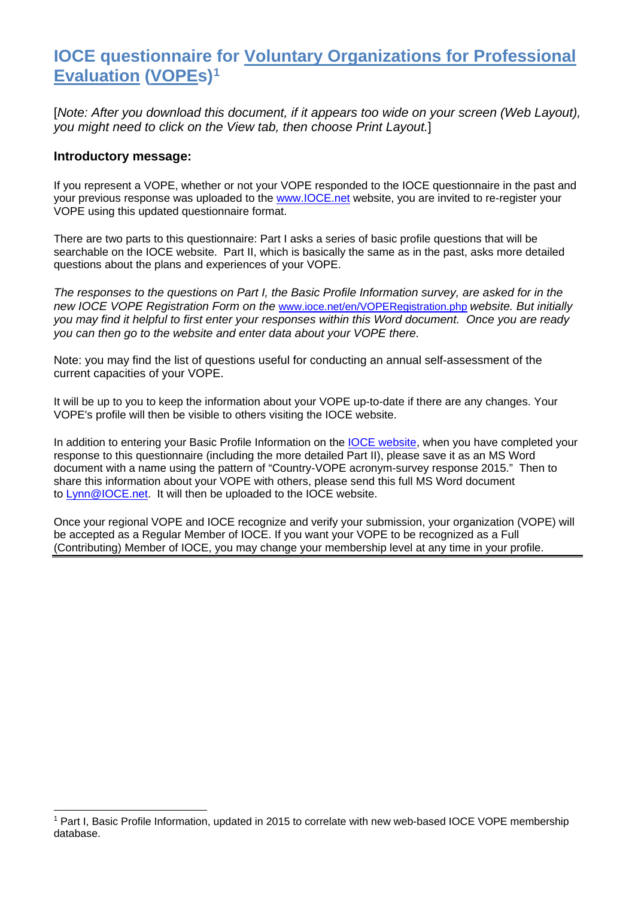### **IOCE questionnaire for Voluntary Organizations for Professional Evaluation (VOPEs)[1](#page-0-0)**

[*Note: After you download this document, if it appears too wide on your screen (Web Layout), you might need to click on the View tab, then choose Print Layout.*]

#### **Introductory message:**

-

If you represent a VOPE, whether or not your VOPE responded to the IOCE questionnaire in the past and your previous response was uploaded to the [www.IOCE.net](http://www.ioce.net/) website, you are invited to re-register your VOPE using this updated questionnaire format.

There are two parts to this questionnaire: Part I asks a series of basic profile questions that will be searchable on the IOCE website. Part II, which is basically the same as in the past, asks more detailed questions about the plans and experiences of your VOPE.

*The responses to the questions on Part I, the Basic Profile Information survey, are asked for in the new IOCE VOPE Registration Form on the* [www.ioce.net/en/VOPERegistration.php](http://www.ioce.net/en/VOPERegistration.php) *website. But initially you may find it helpful to first enter your responses within this Word document. Once you are ready you can then go to the website and enter data about your VOPE there.*

Note: you may find the list of questions useful for conducting an annual self-assessment of the current capacities of your VOPE.

It will be up to you to keep the information about your VOPE up-to-date if there are any changes. Your VOPE's profile will then be visible to others visiting the IOCE website.

In addition to entering your Basic Profile Information on the [IOCE website,](http://www.ioce.net/en/VOPERegistration.php) when you have completed your response to this questionnaire (including the more detailed Part II), please save it as an MS Word document with a name using the pattern of "Country-VOPE acronym-survey response 2015." Then to share this information about your VOPE with others, please send this full MS Word document to **Lynn**@IOCE.net. It will then be uploaded to the IOCE website.

Once your regional VOPE and IOCE recognize and verify your submission, your organization (VOPE) will be accepted as a Regular Member of IOCE. If you want your VOPE to be recognized as a Full (Contributing) Member of IOCE, you may change your membership level at any time in your profile.

<span id="page-0-0"></span><sup>1</sup> Part I, Basic Profile Information, updated in 2015 to correlate with new web-based IOCE VOPE membership database.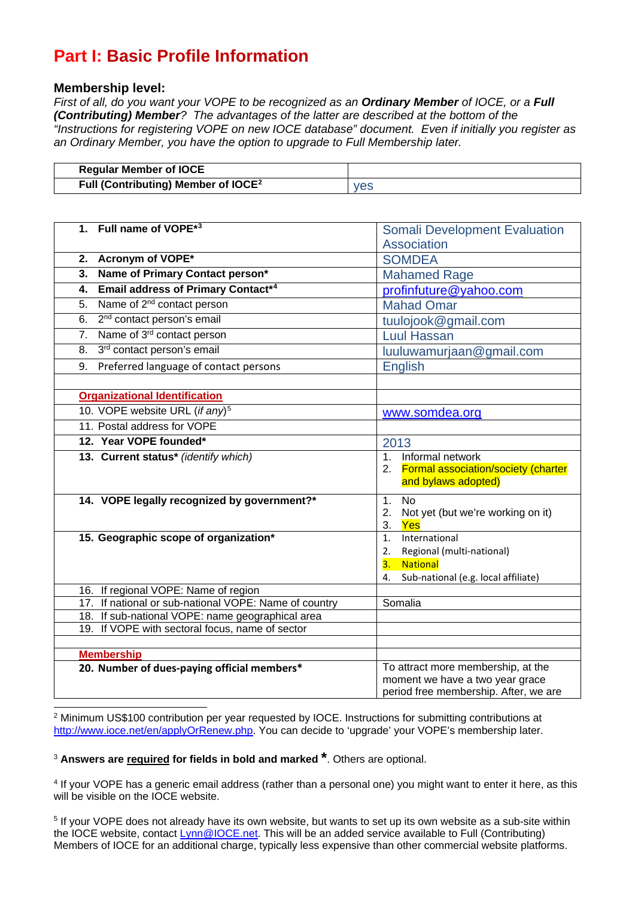# **Part I: Basic Profile Information**

### **Membership level:**

*First of all, do you want your VOPE to be recognized as an Ordinary Member of IOCE, or a Full (Contributing) Member? The advantages of the latter are described at the bottom of the "Instructions for registering VOPE on new IOCE database" document. Even if initially you register as an Ordinary Member, you have the option to upgrade to Full Membership later.*

| <b>Regular Member of IOCE</b>                   |     |
|-------------------------------------------------|-----|
| Full (Contributing) Member of IOCE <sup>2</sup> | ves |

| <b>Somali Development Evaluation</b>                 |
|------------------------------------------------------|
| Association                                          |
| <b>SOMDEA</b>                                        |
| <b>Mahamed Rage</b>                                  |
| profinfuture@yahoo.com                               |
| <b>Mahad Omar</b>                                    |
| tuulojook@gmail.com                                  |
| <b>Luul Hassan</b>                                   |
| luuluwamurjaan@gmail.com                             |
| <b>English</b>                                       |
|                                                      |
|                                                      |
| www.somdea.org                                       |
|                                                      |
| 2013                                                 |
| Informal network<br>1 <sup>1</sup>                   |
| 2. Formal association/society (charter               |
| and bylaws adopted)                                  |
| 1. No                                                |
| Not yet (but we're working on it)<br>2.<br>3.<br>Yes |
| International<br>1 <sub>1</sub>                      |
| Regional (multi-national)<br>2.                      |
| 3.<br><b>National</b>                                |
| Sub-national (e.g. local affiliate)<br>4.            |
|                                                      |
| Somalia                                              |
|                                                      |
|                                                      |
|                                                      |
| To attract more membership, at the                   |
| moment we have a two year grace                      |
| period free membership. After, we are                |
|                                                      |

<span id="page-1-0"></span> $2$  Minimum US\$100 contribution per year requested by IOCE. Instructions for submitting contributions at [http://www.ioce.net/en/applyOrRenew.php.](http://www.ioce.net/en/applyOrRenew.php) You can decide to 'upgrade' your VOPE's membership later. -

<span id="page-1-1"></span><sup>3</sup> **Answers are required for fields in bold and marked \***. Others are optional.

<span id="page-1-2"></span><sup>4</sup> If your VOPE has a generic email address (rather than a personal one) you might want to enter it here, as this will be visible on the IOCE website.

<span id="page-1-3"></span><sup>5</sup> If your VOPE does not already have its own website, but wants to set up its own website as a sub-site within the IOCE website, contact **Lynn@IOCE.net.** This will be an added service available to Full (Contributing) Members of IOCE for an additional charge, typically less expensive than other commercial website platforms.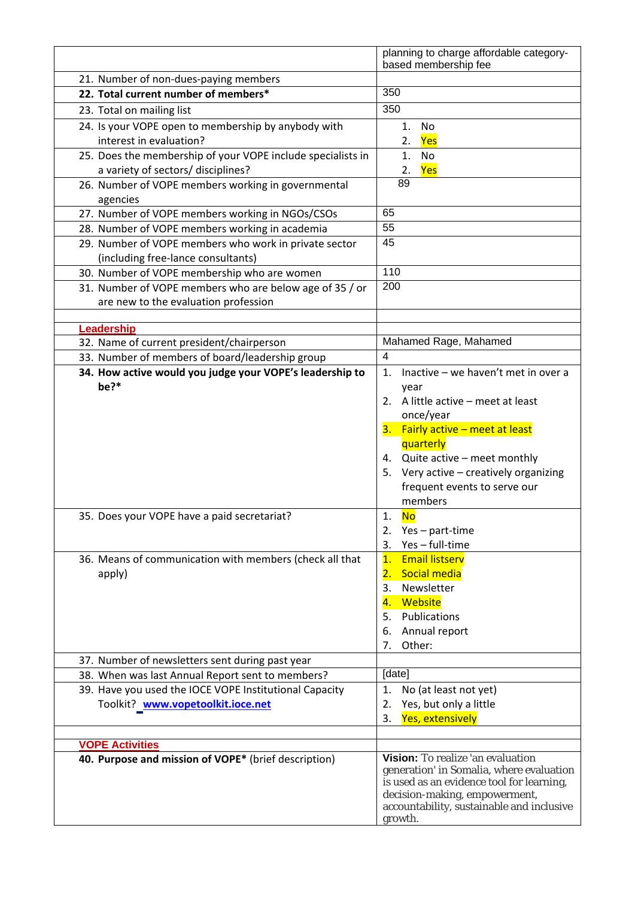|                                                                                                     | planning to charge affordable category-<br>based membership fee            |
|-----------------------------------------------------------------------------------------------------|----------------------------------------------------------------------------|
| 21. Number of non-dues-paying members                                                               |                                                                            |
| 22. Total current number of members*                                                                | 350                                                                        |
| 23. Total on mailing list                                                                           | 350                                                                        |
|                                                                                                     |                                                                            |
| 24. Is your VOPE open to membership by anybody with<br>interest in evaluation?                      | 1.<br>No<br>Yes<br>2.                                                      |
|                                                                                                     |                                                                            |
| 25. Does the membership of your VOPE include specialists in<br>a variety of sectors/ disciplines?   | 1.<br>No<br>Yes<br>2.                                                      |
| 26. Number of VOPE members working in governmental                                                  | 89                                                                         |
| agencies                                                                                            |                                                                            |
| 27. Number of VOPE members working in NGOs/CSOs                                                     | 65                                                                         |
| 28. Number of VOPE members working in academia                                                      | 55                                                                         |
| 29. Number of VOPE members who work in private sector                                               | 45                                                                         |
| (including free-lance consultants)                                                                  |                                                                            |
| 30. Number of VOPE membership who are women                                                         | 110                                                                        |
| 31. Number of VOPE members who are below age of 35 / or                                             | 200                                                                        |
| are new to the evaluation profession                                                                |                                                                            |
|                                                                                                     |                                                                            |
| Leadership<br>32. Name of current president/chairperson                                             | Mahamed Rage, Mahamed                                                      |
| 33. Number of members of board/leadership group                                                     | $\overline{4}$                                                             |
| 34. How active would you judge your VOPE's leadership to                                            | Inactive - we haven't met in over a<br>1.                                  |
| be?*                                                                                                | year                                                                       |
|                                                                                                     | 2. A little active - meet at least                                         |
|                                                                                                     | once/year                                                                  |
|                                                                                                     | 3. Fairly active - meet at least                                           |
|                                                                                                     | quarterly                                                                  |
|                                                                                                     | 4. Quite active - meet monthly                                             |
|                                                                                                     | 5. Very active - creatively organizing                                     |
|                                                                                                     | frequent events to serve our                                               |
|                                                                                                     | members                                                                    |
| 35. Does your VOPE have a paid secretariat?                                                         | 1. No                                                                      |
|                                                                                                     | Yes – part-time<br>2.                                                      |
|                                                                                                     | Yes-full-time<br>3.                                                        |
| 36. Means of communication with members (check all that                                             | <b>Email listserv</b><br>1.                                                |
| apply)                                                                                              | 2. Social media                                                            |
|                                                                                                     | Newsletter<br>3.                                                           |
|                                                                                                     | Website<br>4.                                                              |
|                                                                                                     | 5. Publications                                                            |
|                                                                                                     | Annual report<br>6.                                                        |
|                                                                                                     | Other:<br>7.                                                               |
| 37. Number of newsletters sent during past year<br>38. When was last Annual Report sent to members? | [date]                                                                     |
| 39. Have you used the IOCE VOPE Institutional Capacity                                              | No (at least not yet)<br>1.                                                |
| Toolkit? www.vopetoolkit.ioce.net                                                                   | Yes, but only a little<br>2.                                               |
|                                                                                                     | <b>Yes, extensively</b><br>3.                                              |
|                                                                                                     |                                                                            |
| <b>VOPE Activities</b>                                                                              |                                                                            |
| 40. Purpose and mission of VOPE* (brief description)                                                | Vision: To realize 'an evaluation                                          |
|                                                                                                     | generation' in Somalia, where evaluation                                   |
|                                                                                                     | is used as an evidence tool for learning,<br>decision-making, empowerment, |
|                                                                                                     | accountability, sustainable and inclusive                                  |
|                                                                                                     | growth.                                                                    |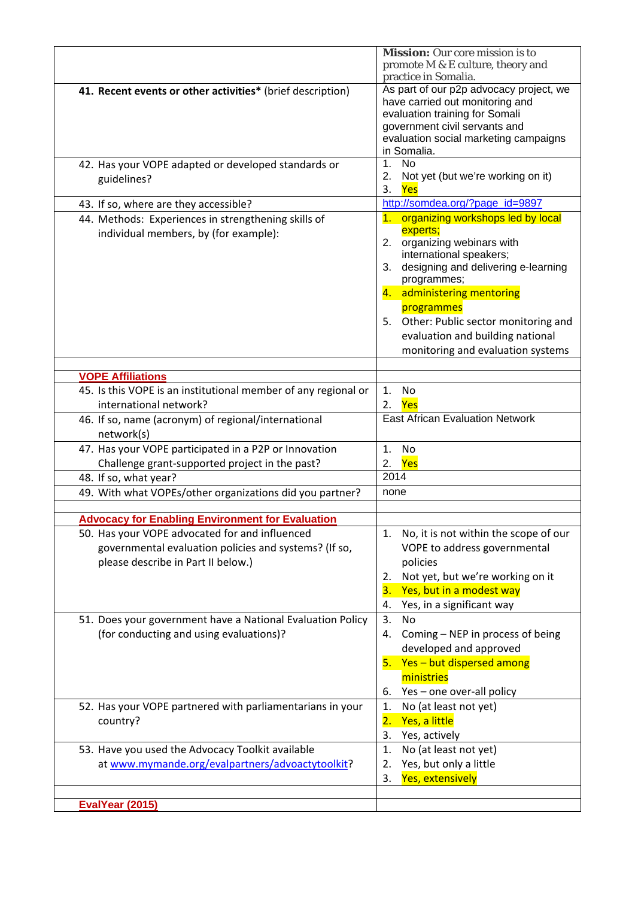|                                                                                                                                               | <b>Mission:</b> Our core mission is to<br>promote M & E culture, theory and<br>practice in Somalia.                                                                                                                                                                                                                                      |
|-----------------------------------------------------------------------------------------------------------------------------------------------|------------------------------------------------------------------------------------------------------------------------------------------------------------------------------------------------------------------------------------------------------------------------------------------------------------------------------------------|
| 41. Recent events or other activities* (brief description)                                                                                    | As part of our p2p advocacy project, we<br>have carried out monitoring and<br>evaluation training for Somali<br>government civil servants and<br>evaluation social marketing campaigns<br>in Somalia.                                                                                                                                    |
| 42. Has your VOPE adapted or developed standards or<br>guidelines?                                                                            | 1 <sub>1</sub><br><b>No</b><br>2.<br>Not yet (but we're working on it)<br>3.<br>Yes                                                                                                                                                                                                                                                      |
| 43. If so, where are they accessible?                                                                                                         | http://somdea.org/?page_id=9897                                                                                                                                                                                                                                                                                                          |
| 44. Methods: Experiences in strengthening skills of<br>individual members, by (for example):                                                  | 1. organizing workshops led by local<br>experts;<br>2. organizing webinars with<br>international speakers;<br>designing and delivering e-learning<br>3.<br>programmes;<br>4. administering mentoring<br>programmes<br>Other: Public sector monitoring and<br>5.<br>evaluation and building national<br>monitoring and evaluation systems |
|                                                                                                                                               |                                                                                                                                                                                                                                                                                                                                          |
| <b>VOPE Affiliations</b>                                                                                                                      |                                                                                                                                                                                                                                                                                                                                          |
| 45. Is this VOPE is an institutional member of any regional or<br>international network?                                                      | 1.<br>No<br>Yes<br>2.                                                                                                                                                                                                                                                                                                                    |
| 46. If so, name (acronym) of regional/international                                                                                           | <b>East African Evaluation Network</b>                                                                                                                                                                                                                                                                                                   |
| network(s)                                                                                                                                    |                                                                                                                                                                                                                                                                                                                                          |
| 47. Has your VOPE participated in a P2P or Innovation                                                                                         | 1.<br>No                                                                                                                                                                                                                                                                                                                                 |
| Challenge grant-supported project in the past?                                                                                                | Yes<br>2.                                                                                                                                                                                                                                                                                                                                |
| 48. If so, what year?                                                                                                                         | 2014                                                                                                                                                                                                                                                                                                                                     |
| 49. With what VOPEs/other organizations did you partner?                                                                                      | none                                                                                                                                                                                                                                                                                                                                     |
|                                                                                                                                               |                                                                                                                                                                                                                                                                                                                                          |
| <b>Advocacy for Enabling Environment for Evaluation</b>                                                                                       |                                                                                                                                                                                                                                                                                                                                          |
| 50. Has your VOPE advocated for and influenced<br>governmental evaluation policies and systems? (If so,<br>please describe in Part II below.) | No, it is not within the scope of our<br>1.<br>VOPE to address governmental<br>policies<br>Not yet, but we're working on it<br>2.<br>Yes, but in a modest way<br>3.<br>Yes, in a significant way<br>4.                                                                                                                                   |
| 51. Does your government have a National Evaluation Policy                                                                                    | 3.<br>No                                                                                                                                                                                                                                                                                                                                 |
| (for conducting and using evaluations)?                                                                                                       | Coming - NEP in process of being<br>4.<br>developed and approved<br>5. Yes - but dispersed among<br>ministries<br>Yes - one over-all policy<br>6.                                                                                                                                                                                        |
| 52. Has your VOPE partnered with parliamentarians in your                                                                                     | No (at least not yet)<br>1.                                                                                                                                                                                                                                                                                                              |
| country?                                                                                                                                      | Yes, a little<br>2.<br>3.<br>Yes, actively                                                                                                                                                                                                                                                                                               |
| 53. Have you used the Advocacy Toolkit available                                                                                              | No (at least not yet)<br>1.                                                                                                                                                                                                                                                                                                              |
| at www.mymande.org/evalpartners/advoactytoolkit?                                                                                              | Yes, but only a little<br>2.                                                                                                                                                                                                                                                                                                             |
|                                                                                                                                               | Yes, extensively<br>3.                                                                                                                                                                                                                                                                                                                   |
|                                                                                                                                               |                                                                                                                                                                                                                                                                                                                                          |
| EvalYear (2015)                                                                                                                               |                                                                                                                                                                                                                                                                                                                                          |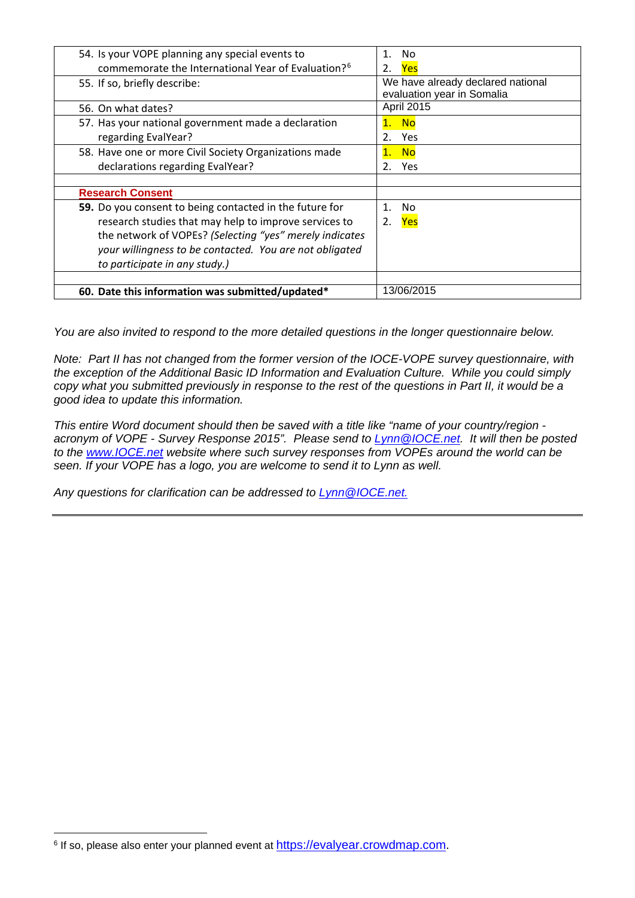| 54. Is your VOPE planning any special events to                | No<br>1.                                                        |
|----------------------------------------------------------------|-----------------------------------------------------------------|
| commemorate the International Year of Evaluation? <sup>6</sup> | Yes                                                             |
| 55. If so, briefly describe:                                   | We have already declared national<br>evaluation year in Somalia |
| 56. On what dates?                                             | April 2015                                                      |
| 57. Has your national government made a declaration            | <b>No</b>                                                       |
| regarding EvalYear?                                            | $2_{-}$<br>Yes                                                  |
| 58. Have one or more Civil Society Organizations made          | <b>No</b><br>1.                                                 |
| declarations regarding EvalYear?                               | 2.<br><b>Yes</b>                                                |
|                                                                |                                                                 |
| <b>Research Consent</b>                                        |                                                                 |
| 59. Do you consent to being contacted in the future for        | $\mathbf 1$ .<br>No                                             |
| research studies that may help to improve services to          | 2.<br><b>Yes</b>                                                |
| the network of VOPEs? (Selecting "yes" merely indicates        |                                                                 |
| your willingness to be contacted. You are not obligated        |                                                                 |
| to participate in any study.)                                  |                                                                 |
|                                                                |                                                                 |
| 60. Date this information was submitted/updated*               | 13/06/2015                                                      |

*You are also invited to respond to the more detailed questions in the longer questionnaire below.* 

*Note: Part II has not changed from the former version of the IOCE-VOPE survey questionnaire, with the exception of the Additional Basic ID Information and Evaluation Culture. While you could simply copy what you submitted previously in response to the rest of the questions in Part II, it would be a good idea to update this information.*

*This entire Word document should then be saved with a title like "name of your country/region acronym of VOPE - Survey Response 2015". Please send to [Lynn@IOCE.net.](mailto:Lynn@IOCE.net) It will then be posted to the [www.IOCE.net](http://www.ioce.net/) website where such survey responses from VOPEs around the world can be seen. If your VOPE has a logo, you are welcome to send it to Lynn as well.*

*Any questions for clarification can be addressed to [Lynn@IOCE.net.](mailto:Lynn@IOCE.net)*

j

<span id="page-4-0"></span><sup>&</sup>lt;sup>6</sup> If so, please also enter your planned event at [https://evalyear.crowdmap.com.](https://evalyear.crowdmap.com/)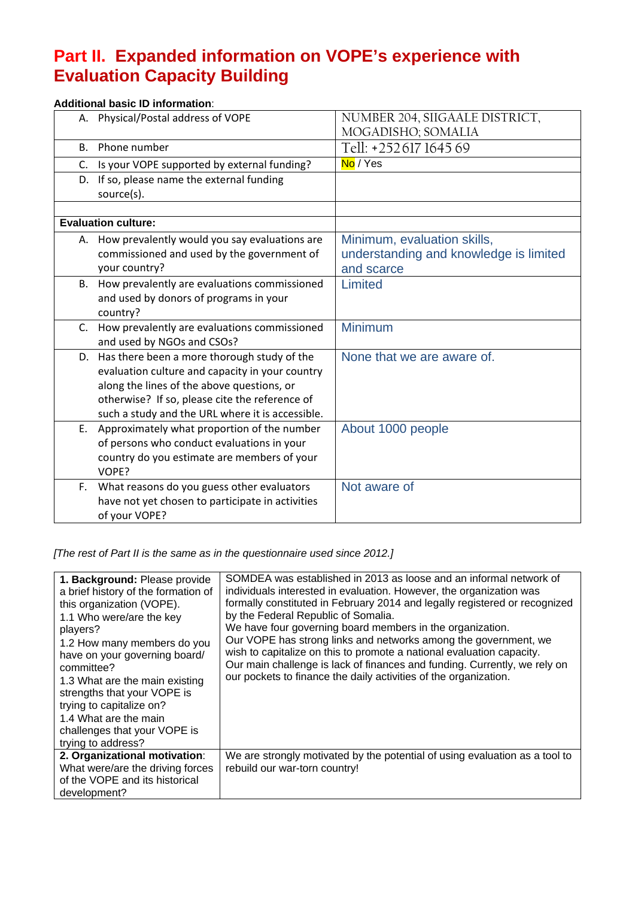## **Part II. Expanded information on VOPE's experience with Evaluation Capacity Building**

### **Additional basic ID information**:

|         | A. Physical/Postal address of VOPE                                                                | NUMBER 204, SIIGAALE DISTRICT,<br>MOGADISHO; SOMALIA |
|---------|---------------------------------------------------------------------------------------------------|------------------------------------------------------|
| В.      | Phone number                                                                                      | Tell: +252617164569                                  |
| C.      | Is your VOPE supported by external funding?                                                       | No / Yes                                             |
|         | D. If so, please name the external funding                                                        |                                                      |
|         | source(s).                                                                                        |                                                      |
|         |                                                                                                   |                                                      |
|         | <b>Evaluation culture:</b>                                                                        |                                                      |
|         | A. How prevalently would you say evaluations are                                                  | Minimum, evaluation skills,                          |
|         | commissioned and used by the government of                                                        | understanding and knowledge is limited               |
|         | your country?                                                                                     | and scarce                                           |
|         | B. How prevalently are evaluations commissioned                                                   | Limited                                              |
|         | and used by donors of programs in your                                                            |                                                      |
|         | country?                                                                                          |                                                      |
| $C_{1}$ | How prevalently are evaluations commissioned                                                      | <b>Minimum</b>                                       |
|         | and used by NGOs and CSOs?                                                                        | None that we are aware of.                           |
|         | D. Has there been a more thorough study of the<br>evaluation culture and capacity in your country |                                                      |
|         | along the lines of the above questions, or                                                        |                                                      |
|         | otherwise? If so, please cite the reference of                                                    |                                                      |
|         | such a study and the URL where it is accessible.                                                  |                                                      |
|         | E. Approximately what proportion of the number                                                    | About 1000 people                                    |
|         | of persons who conduct evaluations in your                                                        |                                                      |
|         | country do you estimate are members of your                                                       |                                                      |
|         | VOPE?                                                                                             |                                                      |
| F.      | What reasons do you guess other evaluators                                                        | Not aware of                                         |
|         | have not yet chosen to participate in activities                                                  |                                                      |
|         | of your VOPE?                                                                                     |                                                      |

*[The rest of Part II is the same as in the questionnaire used since 2012.]*

| 1. Background: Please provide<br>a brief history of the formation of<br>this organization (VOPE).<br>1.1 Who were/are the key<br>players?<br>1.2 How many members do you<br>have on your governing board/<br>committee?<br>1.3 What are the main existing<br>strengths that your VOPE is<br>trying to capitalize on?<br>1.4 What are the main<br>challenges that your VOPE is<br>trying to address? | SOMDEA was established in 2013 as loose and an informal network of<br>individuals interested in evaluation. However, the organization was<br>formally constituted in February 2014 and legally registered or recognized<br>by the Federal Republic of Somalia.<br>We have four governing board members in the organization.<br>Our VOPE has strong links and networks among the government, we<br>wish to capitalize on this to promote a national evaluation capacity.<br>Our main challenge is lack of finances and funding. Currently, we rely on<br>our pockets to finance the daily activities of the organization. |
|-----------------------------------------------------------------------------------------------------------------------------------------------------------------------------------------------------------------------------------------------------------------------------------------------------------------------------------------------------------------------------------------------------|--------------------------------------------------------------------------------------------------------------------------------------------------------------------------------------------------------------------------------------------------------------------------------------------------------------------------------------------------------------------------------------------------------------------------------------------------------------------------------------------------------------------------------------------------------------------------------------------------------------------------|
| 2. Organizational motivation:<br>What were/are the driving forces<br>of the VOPE and its historical<br>development?                                                                                                                                                                                                                                                                                 | We are strongly motivated by the potential of using evaluation as a tool to<br>rebuild our war-torn country!                                                                                                                                                                                                                                                                                                                                                                                                                                                                                                             |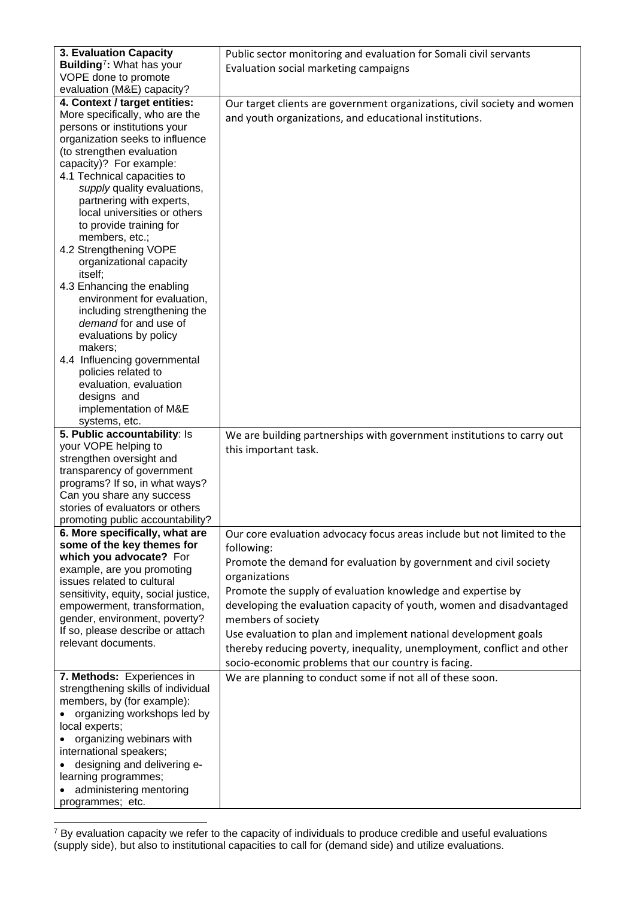| 3. Evaluation Capacity                                  | Public sector monitoring and evaluation for Somali civil servants        |
|---------------------------------------------------------|--------------------------------------------------------------------------|
| Building <sup>7</sup> : What has your                   | Evaluation social marketing campaigns                                    |
| VOPE done to promote                                    |                                                                          |
| evaluation (M&E) capacity?                              |                                                                          |
| 4. Context / target entities:                           | Our target clients are government organizations, civil society and women |
| More specifically, who are the                          | and youth organizations, and educational institutions.                   |
| persons or institutions your                            |                                                                          |
| organization seeks to influence                         |                                                                          |
| (to strengthen evaluation<br>capacity)? For example:    |                                                                          |
| 4.1 Technical capacities to                             |                                                                          |
| supply quality evaluations,                             |                                                                          |
| partnering with experts,                                |                                                                          |
| local universities or others                            |                                                                          |
| to provide training for                                 |                                                                          |
| members, etc.;                                          |                                                                          |
| 4.2 Strengthening VOPE                                  |                                                                          |
| organizational capacity                                 |                                                                          |
| itself;                                                 |                                                                          |
| 4.3 Enhancing the enabling                              |                                                                          |
| environment for evaluation,                             |                                                                          |
| including strengthening the                             |                                                                          |
| demand for and use of                                   |                                                                          |
| evaluations by policy                                   |                                                                          |
| makers;<br>4.4 Influencing governmental                 |                                                                          |
| policies related to                                     |                                                                          |
| evaluation, evaluation                                  |                                                                          |
| designs and                                             |                                                                          |
| implementation of M&E                                   |                                                                          |
| systems, etc.                                           |                                                                          |
| 5. Public accountability: Is                            | We are building partnerships with government institutions to carry out   |
| your VOPE helping to                                    | this important task.                                                     |
| strengthen oversight and                                |                                                                          |
|                                                         |                                                                          |
| transparency of government                              |                                                                          |
| programs? If so, in what ways?                          |                                                                          |
| Can you share any success                               |                                                                          |
| stories of evaluators or others                         |                                                                          |
| promoting public accountability?                        |                                                                          |
| 6. More specifically, what are                          | Our core evaluation advocacy focus areas include but not limited to the  |
| some of the key themes for                              | following:                                                               |
| which you advocate? For                                 | Promote the demand for evaluation by government and civil society        |
| example, are you promoting                              | organizations                                                            |
| issues related to cultural                              |                                                                          |
| sensitivity, equity, social justice,                    | Promote the supply of evaluation knowledge and expertise by              |
| empowerment, transformation,                            | developing the evaluation capacity of youth, women and disadvantaged     |
| gender, environment, poverty?                           | members of society                                                       |
| If so, please describe or attach<br>relevant documents. | Use evaluation to plan and implement national development goals          |
|                                                         | thereby reducing poverty, inequality, unemployment, conflict and other   |
|                                                         | socio-economic problems that our country is facing.                      |
| 7. Methods: Experiences in                              | We are planning to conduct some if not all of these soon.                |
| strengthening skills of individual                      |                                                                          |
| members, by (for example):                              |                                                                          |
| organizing workshops led by                             |                                                                          |
| local experts;                                          |                                                                          |
| organizing webinars with                                |                                                                          |
| international speakers;                                 |                                                                          |
| designing and delivering e-                             |                                                                          |
| learning programmes;<br>administering mentoring         |                                                                          |

<span id="page-6-0"></span> $7$  By evaluation capacity we refer to the capacity of individuals to produce credible and useful evaluations (supply side), but also to institutional capacities to call for (demand side) and utilize evaluations. j